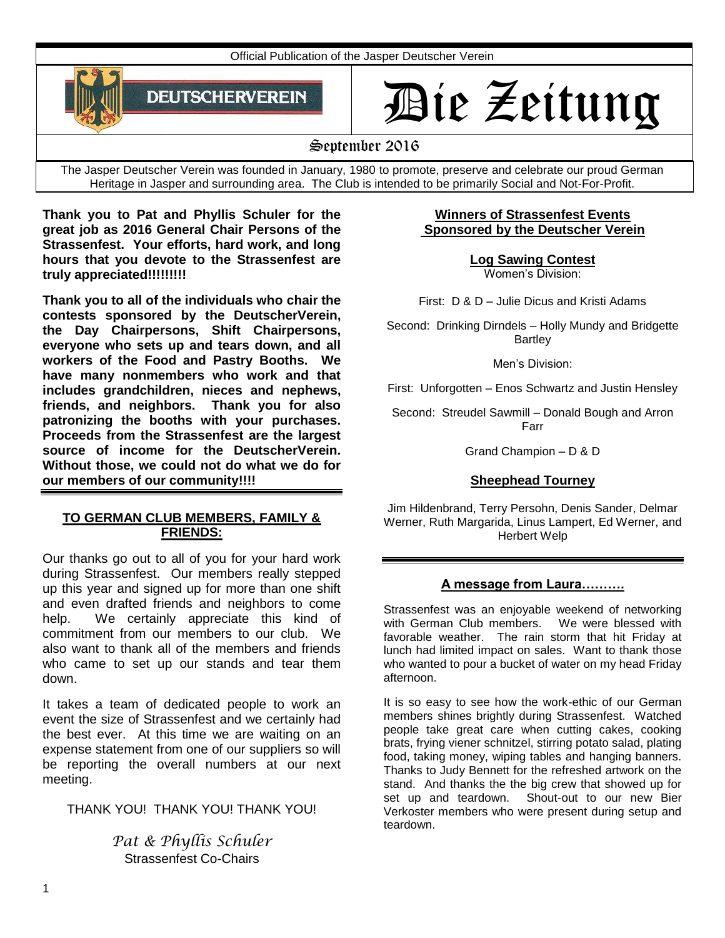Official Publication of the Jasper Deutscher Verein



# Die Zeitung

September 2016

The Jasper Deutscher Verein was founded in January, 1980 to promote, preserve and celebrate our proud German Heritage in Jasper and surrounding area. The Club is intended to be primarily Social and Not-For-Profit.

**Thank you to Pat and Phyllis Schuler for the great job as 2016 General Chair Persons of the Strassenfest. Your efforts, hard work, and long hours that you devote to the Strassenfest are truly appreciated!!!!!!!!!**

**Thank you to all of the individuals who chair the contests sponsored by the DeutscherVerein, the Day Chairpersons, Shift Chairpersons, everyone who sets up and tears down, and all workers of the Food and Pastry Booths. We have many nonmembers who work and that includes grandchildren, nieces and nephews, friends, and neighbors. Thank you for also patronizing the booths with your purchases. Proceeds from the Strassenfest are the largest source of income for the DeutscherVerein. Without those, we could not do what we do for our members of our community!!!!** 

#### **TO GERMAN CLUB MEMBERS, FAMILY & FRIENDS:**

Our thanks go out to all of you for your hard work during Strassenfest. Our members really stepped up this year and signed up for more than one shift and even drafted friends and neighbors to come help. We certainly appreciate this kind of commitment from our members to our club. We also want to thank all of the members and friends who came to set up our stands and tear them down.

It takes a team of dedicated people to work an event the size of Strassenfest and we certainly had the best ever. At this time we are waiting on an expense statement from one of our suppliers so will be reporting the overall numbers at our next meeting.

THANK YOU! THANK YOU! THANK YOU!

*Pat & Phyllis Schuler* Strassenfest Co-Chairs

#### **Winners of Strassenfest Events Sponsored by the Deutscher Verein**

**Log Sawing Contest**

Women's Division:

First: D & D – Julie Dicus and Kristi Adams

Second: Drinking Dirndels – Holly Mundy and Bridgette **Bartley** 

Men's Division:

First: Unforgotten – Enos Schwartz and Justin Hensley

Second: Streudel Sawmill – Donald Bough and Arron Farr

Grand Champion – D & D

#### **Sheephead Tourney**

Jim Hildenbrand, Terry Persohn, Denis Sander, Delmar Werner, Ruth Margarida, Linus Lampert, Ed Werner, and Herbert Welp

#### **A message from Laura……….**

Strassenfest was an enjoyable weekend of networking with German Club members. We were blessed with favorable weather. The rain storm that hit Friday at lunch had limited impact on sales. Want to thank those who wanted to pour a bucket of water on my head Friday afternoon.

It is so easy to see how the work-ethic of our German members shines brightly during Strassenfest. Watched people take great care when cutting cakes, cooking brats, frying viener schnitzel, stirring potato salad, plating food, taking money, wiping tables and hanging banners. Thanks to Judy Bennett for the refreshed artwork on the stand. And thanks the the big crew that showed up for set up and teardown. Shout-out to our new Bier Verkoster members who were present during setup and teardown.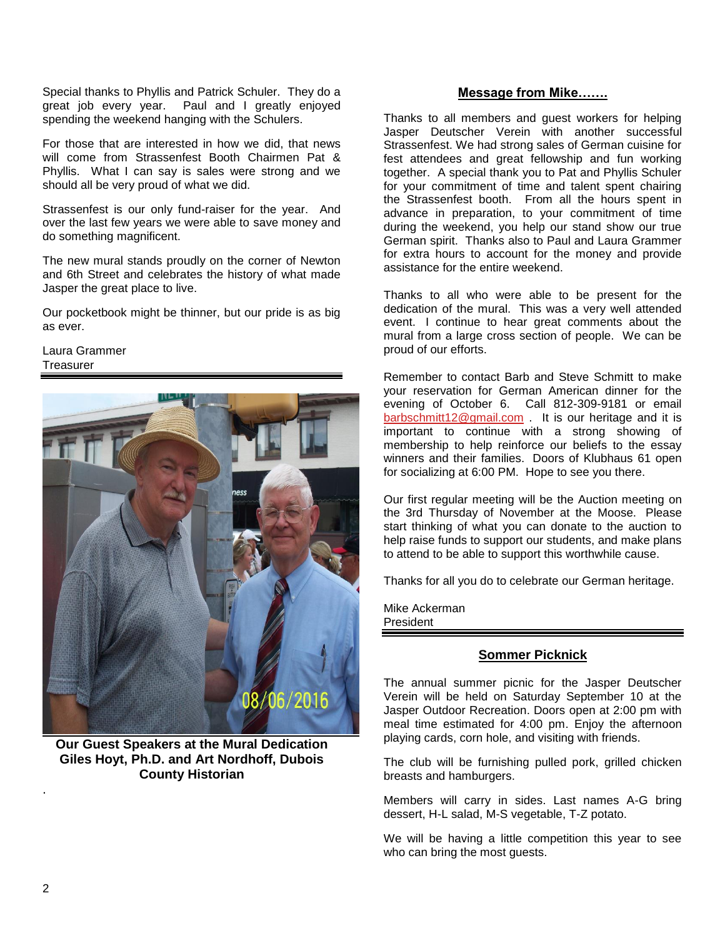Special thanks to Phyllis and Patrick Schuler. They do a great job every year. Paul and I greatly enjoyed spending the weekend hanging with the Schulers.

For those that are interested in how we did, that news will come from Strassenfest Booth Chairmen Pat & Phyllis. What I can say is sales were strong and we should all be very proud of what we did.

Strassenfest is our only fund-raiser for the year. And over the last few years we were able to save money and do something magnificent.

The new mural stands proudly on the corner of Newton and 6th Street and celebrates the history of what made Jasper the great place to live.

Our pocketbook might be thinner, but our pride is as big as ever.

Laura Grammer **Treasurer** 



**Our Guest Speakers at the Mural Dedication Giles Hoyt, Ph.D. and Art Nordhoff, Dubois County Historian**

#### **Message from Mike…….**

Thanks to all members and guest workers for helping Jasper Deutscher Verein with another successful Strassenfest. We had strong sales of German cuisine for fest attendees and great fellowship and fun working together. A special thank you to Pat and Phyllis Schuler for your commitment of time and talent spent chairing the Strassenfest booth. From all the hours spent in advance in preparation, to your commitment of time during the weekend, you help our stand show our true German spirit. Thanks also to Paul and Laura Grammer for extra hours to account for the money and provide assistance for the entire weekend.

Thanks to all who were able to be present for the dedication of the mural. This was a very well attended event. I continue to hear great comments about the mural from a large cross section of people. We can be proud of our efforts.

Remember to contact Barb and Steve Schmitt to make your reservation for German American dinner for the evening of October 6. Call 812-309-9181 or email [barbschmitt12@gmail.com](mailto:barbschmitt12@gmail.com) . It is our heritage and it is **DELISTER INTERFORMATE CONTINUES SHOWING SHOWING OF** membership to help reinforce our beliefs to the essay winners and their families. Doors of Klubhaus 61 open for socializing at 6:00 PM. Hope to see you there.

Our first regular meeting will be the Auction meeting on the 3rd Thursday of November at the Moose. Please start thinking of what you can donate to the auction to help raise funds to support our students, and make plans to attend to be able to support this worthwhile cause.

Thanks for all you do to celebrate our German heritage.

Mike Ackerman President

#### **Sommer Picknick**

The annual summer picnic for the Jasper Deutscher Verein will be held on Saturday September 10 at the Jasper Outdoor Recreation. Doors open at 2:00 pm with meal time estimated for 4:00 pm. Enjoy the afternoon playing cards, corn hole, and visiting with friends.

The club will be furnishing pulled pork, grilled chicken breasts and hamburgers.

Members will carry in sides. Last names A-G bring dessert, H-L salad, M-S vegetable, T-Z potato.

We will be having a little competition this year to see who can bring the most guests.

.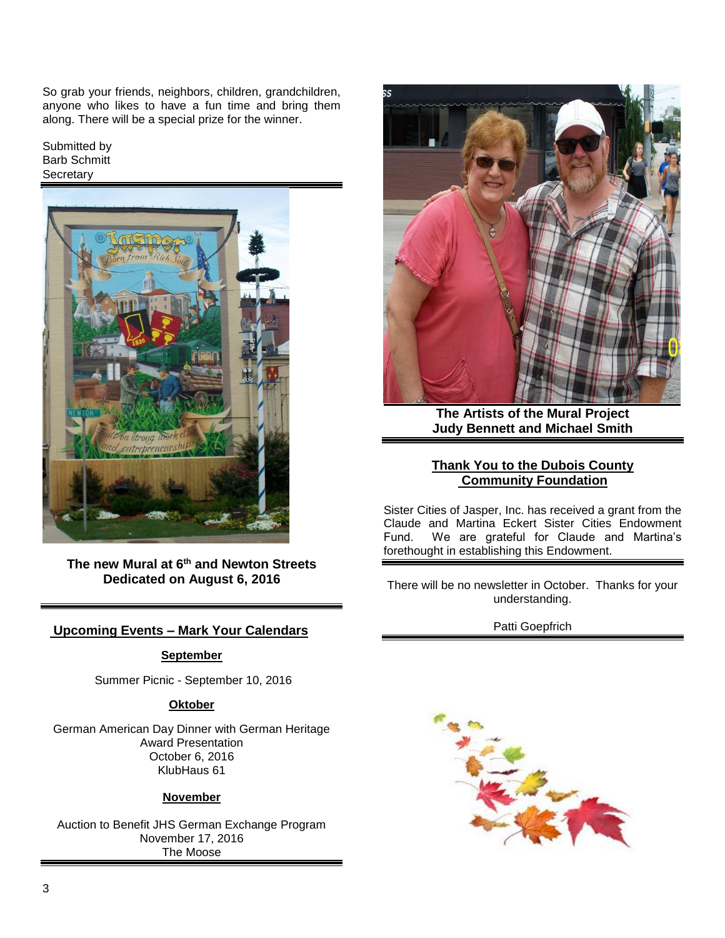So grab your friends, neighbors, children, grandchildren, anyone who likes to have a fun time and bring them along. There will be a special prize for the winner.

Submitted by Barb Schmitt **Secretary** 



**The new Mural at 6th and Newton Streets Dedicated on August 6, 2016**

#### **Upcoming Events – Mark Your Calendars**

#### **September**

Summer Picnic - September 10, 2016

#### **Oktober**

German American Day Dinner with German Heritage Award Presentation October 6, 2016 KlubHaus 61

#### **November**

Auction to Benefit JHS German Exchange Program November 17, 2016 The Moose



**The Artists of the Mural Project Judy Bennett and Michael Smith**

#### **Thank You to the Dubois County Community Foundation**

Sister Cities of Jasper, Inc. has received a grant from the Claude and Martina Eckert Sister Cities Endowment Fund. We are grateful for Claude and Martina's forethought in establishing this Endowment.

There will be no newsletter in October. Thanks for your understanding.

Patti Goepfrich

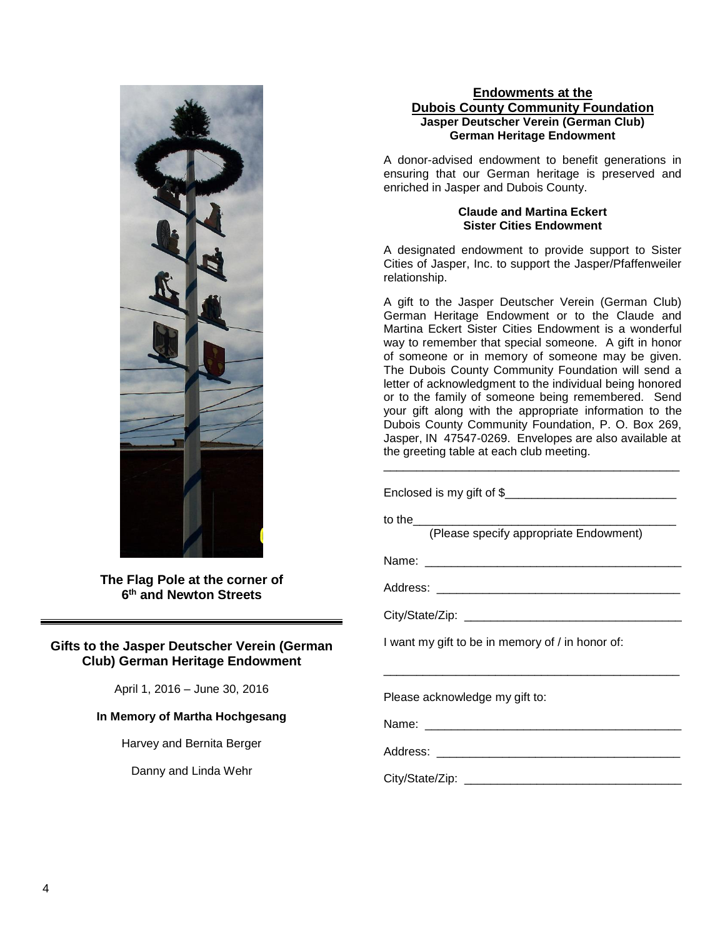

**The Flag Pole at the corner of 6 th and Newton Streets**

#### **Gifts to the Jasper Deutscher Verein (German Club) German Heritage Endowment**

April 1, 2016 – June 30, 2016

#### **In Memory of Martha Hochgesang**

Harvey and Bernita Berger

Danny and Linda Wehr

#### **Endowments at the Dubois County Community Foundation Jasper Deutscher Verein (German Club) German Heritage Endowment**

A donor-advised endowment to benefit generations in ensuring that our German heritage is preserved and enriched in Jasper and Dubois County.

#### **Claude and Martina Eckert Sister Cities Endowment**

A designated endowment to provide support to Sister Cities of Jasper, Inc. to support the Jasper/Pfaffenweiler relationship.

A gift to the Jasper Deutscher Verein (German Club) German Heritage Endowment or to the Claude and Martina Eckert Sister Cities Endowment is a wonderful way to remember that special someone. A gift in honor of someone or in memory of someone may be given. The Dubois County Community Foundation will send a letter of acknowledgment to the individual being honored or to the family of someone being remembered. Send your gift along with the appropriate information to the Dubois County Community Foundation, P. O. Box 269, Jasper, IN 47547-0269. Envelopes are also available at the greeting table at each club meeting.

Enclosed is my gift of \$

to the

(Please specify appropriate Endowment)

\_\_\_\_\_\_\_\_\_\_\_\_\_\_\_\_\_\_\_\_\_\_\_\_\_\_\_\_\_\_\_\_\_\_\_\_\_\_\_\_\_\_\_\_\_

\_\_\_\_\_\_\_\_\_\_\_\_\_\_\_\_\_\_\_\_\_\_\_\_\_\_\_\_\_\_\_\_\_\_\_\_\_\_\_\_\_\_\_\_\_

Name:  $\blacksquare$ 

Address: \_\_\_\_\_\_\_\_\_\_\_\_\_\_\_\_\_\_\_\_\_\_\_\_\_\_\_\_\_\_\_\_\_\_\_\_\_

City/State/Zip:

I want my gift to be in memory of / in honor of:

Please acknowledge my gift to:

Name: \_\_\_\_\_\_\_\_\_\_\_\_\_\_\_\_\_\_\_\_\_\_\_\_\_\_\_\_\_\_\_\_\_\_\_\_\_\_\_

Address: \_\_\_\_\_\_\_\_\_\_\_\_\_\_\_\_\_\_\_\_\_\_\_\_\_\_\_\_\_\_\_\_\_\_\_\_\_

City/State/Zip: \_\_\_\_\_\_\_\_\_\_\_\_\_\_\_\_\_\_\_\_\_\_\_\_\_\_\_\_\_\_\_\_\_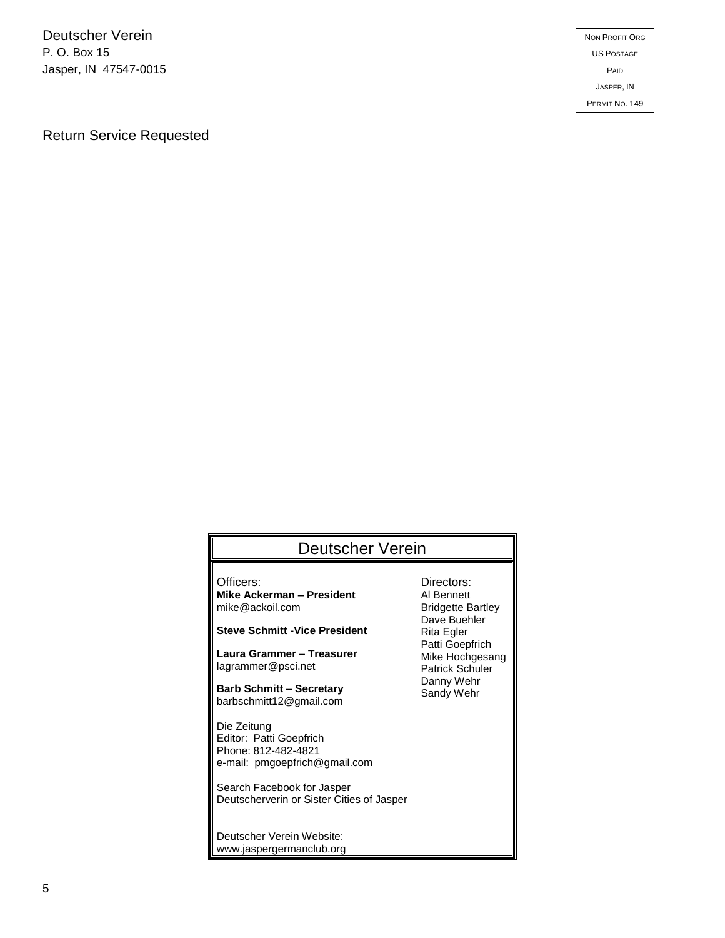Deutscher Verein P. O. Box 15 Jasper, IN 47547-0015 NON PROFIT ORG US POSTAGE PAID JASPER, IN PERMIT NO. 149

#### Return Service Requested

### Deutscher Verein

Al Bennett Bridgette Bartley Dave Buehler Rita Egler Patti Goepfrich Mike Hochgesang Patrick Schuler Danny Wehr Sandy Wehr

#### Officers: Directors:

**Mike Ackerman – President** mike@ackoil.com

#### **Steve Schmitt -Vice President**

**Laura Grammer – Treasurer** lagrammer@psci.net

**Barb Schmitt – Secretary** barbschmitt12@gmail.com

Die Zeitung Editor: Patti Goepfrich Phone: 812-482-4821 e-mail: pmgoepfrich@gmail.com

Search Facebook for Jasper Deutscherverin or Sister Cities of Jasper

Deutscher Verein Website: www.jaspergermanclub.org